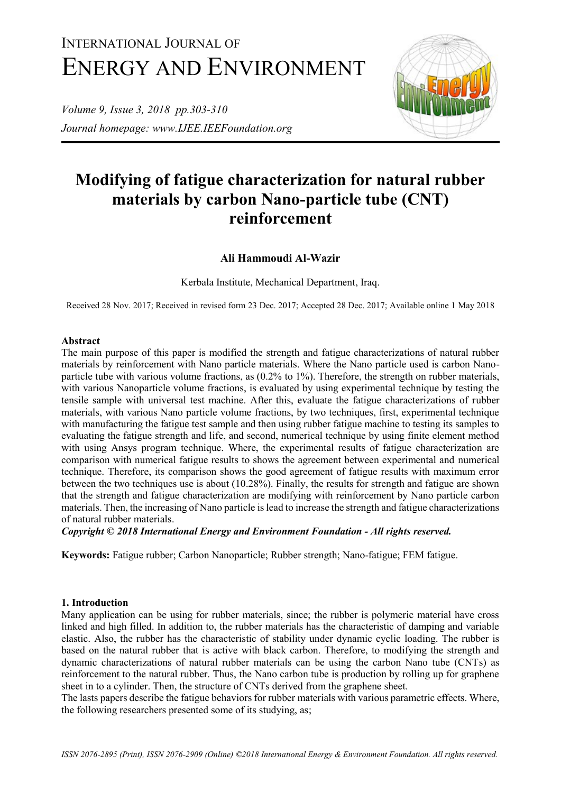# INTERNATIONAL JOURNAL OF ENERGY AND ENVIRONMENT

*Volume 9, Issue 3, 2018 pp.303-310 Journal homepage: www.IJEE.IEEFoundation.org*



# **Modifying of fatigue characterization for natural rubber materials by carbon Nano-particle tube (CNT) reinforcement**

# **Ali Hammoudi Al-Wazir**

Kerbala Institute, Mechanical Department, Iraq.

Received 28 Nov. 2017; Received in revised form 23 Dec. 2017; Accepted 28 Dec. 2017; Available online 1 May 2018

#### **Abstract**

The main purpose of this paper is modified the strength and fatigue characterizations of natural rubber materials by reinforcement with Nano particle materials. Where the Nano particle used is carbon Nanoparticle tube with various volume fractions, as (0.2% to 1%). Therefore, the strength on rubber materials, with various Nanoparticle volume fractions, is evaluated by using experimental technique by testing the tensile sample with universal test machine. After this, evaluate the fatigue characterizations of rubber materials, with various Nano particle volume fractions, by two techniques, first, experimental technique with manufacturing the fatigue test sample and then using rubber fatigue machine to testing its samples to evaluating the fatigue strength and life, and second, numerical technique by using finite element method with using Ansys program technique. Where, the experimental results of fatigue characterization are comparison with numerical fatigue results to shows the agreement between experimental and numerical technique. Therefore, its comparison shows the good agreement of fatigue results with maximum error between the two techniques use is about (10.28%). Finally, the results for strength and fatigue are shown that the strength and fatigue characterization are modifying with reinforcement by Nano particle carbon materials. Then, the increasing of Nano particle is lead to increase the strength and fatigue characterizations of natural rubber materials.

*Copyright © 2018 International Energy and Environment Foundation - All rights reserved.*

**Keywords:** Fatigue rubber; Carbon Nanoparticle; Rubber strength; Nano-fatigue; FEM fatigue.

#### **1. Introduction**

Many application can be using for rubber materials, since; the rubber is polymeric material have cross linked and high filled. In addition to, the rubber materials has the characteristic of damping and variable elastic. Also, the rubber has the characteristic of stability under dynamic cyclic loading. The rubber is based on the natural rubber that is active with black carbon. Therefore, to modifying the strength and dynamic characterizations of natural rubber materials can be using the carbon Nano tube (CNTs) as reinforcement to the natural rubber. Thus, the Nano carbon tube is production by rolling up for graphene sheet in to a cylinder. Then, the structure of CNTs derived from the graphene sheet.

The lasts papers describe the fatigue behaviors for rubber materials with various parametric effects. Where, the following researchers presented some of its studying, as;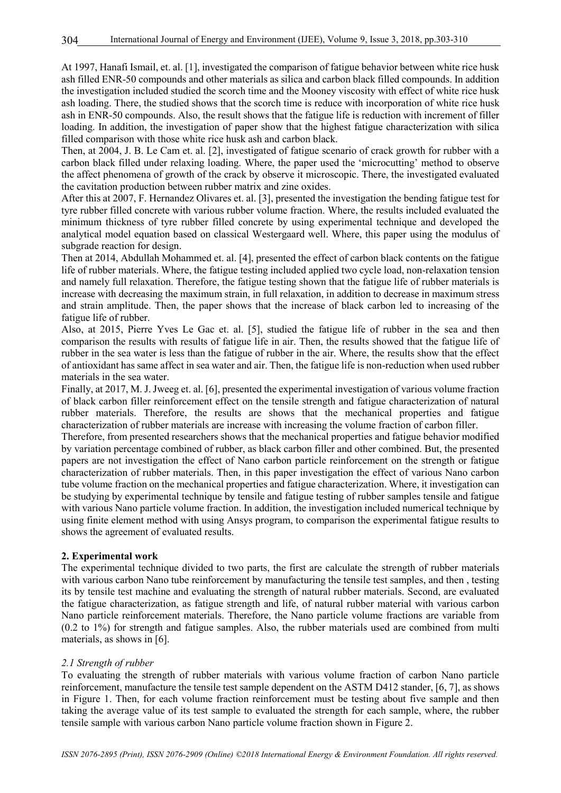At 1997, Hanafi Ismail, et. al. [1], investigated the comparison of fatigue behavior between white rice husk ash filled ENR-50 compounds and other materials as silica and carbon black filled compounds. In addition the investigation included studied the scorch time and the Mooney viscosity with effect of white rice husk ash loading. There, the studied shows that the scorch time is reduce with incorporation of white rice husk ash in ENR-50 compounds. Also, the result shows that the fatigue life is reduction with increment of filler loading. In addition, the investigation of paper show that the highest fatigue characterization with silica filled comparison with those white rice husk ash and carbon black.

Then, at 2004, J. B. Le Cam et. al. [2], investigated of fatigue scenario of crack growth for rubber with a carbon black filled under relaxing loading. Where, the paper used the 'microcutting' method to observe the affect phenomena of growth of the crack by observe it microscopic. There, the investigated evaluated the cavitation production between rubber matrix and zine oxides.

After this at 2007, F. Hernandez Olivares et. al. [3], presented the investigation the bending fatigue test for tyre rubber filled concrete with various rubber volume fraction. Where, the results included evaluated the minimum thickness of tyre rubber filled concrete by using experimental technique and developed the analytical model equation based on classical Westergaard well. Where, this paper using the modulus of subgrade reaction for design.

Then at 2014, Abdullah Mohammed et. al. [4], presented the effect of carbon black contents on the fatigue life of rubber materials. Where, the fatigue testing included applied two cycle load, non-relaxation tension and namely full relaxation. Therefore, the fatigue testing shown that the fatigue life of rubber materials is increase with decreasing the maximum strain, in full relaxation, in addition to decrease in maximum stress and strain amplitude. Then, the paper shows that the increase of black carbon led to increasing of the fatigue life of rubber.

Also, at 2015, Pierre Yves Le Gac et. al. [5], studied the fatigue life of rubber in the sea and then comparison the results with results of fatigue life in air. Then, the results showed that the fatigue life of rubber in the sea water is less than the fatigue of rubber in the air. Where, the results show that the effect of antioxidant has same affect in sea water and air. Then, the fatigue life is non-reduction when used rubber materials in the sea water.

Finally, at 2017, M. J. Jweeg et. al. [6], presented the experimental investigation of various volume fraction of black carbon filler reinforcement effect on the tensile strength and fatigue characterization of natural rubber materials. Therefore, the results are shows that the mechanical properties and fatigue characterization of rubber materials are increase with increasing the volume fraction of carbon filler.

Therefore, from presented researchers shows that the mechanical properties and fatigue behavior modified by variation percentage combined of rubber, as black carbon filler and other combined. But, the presented papers are not investigation the effect of Nano carbon particle reinforcement on the strength or fatigue characterization of rubber materials. Then, in this paper investigation the effect of various Nano carbon tube volume fraction on the mechanical properties and fatigue characterization. Where, it investigation can be studying by experimental technique by tensile and fatigue testing of rubber samples tensile and fatigue with various Nano particle volume fraction. In addition, the investigation included numerical technique by using finite element method with using Ansys program, to comparison the experimental fatigue results to shows the agreement of evaluated results.

#### **2. Experimental work**

The experimental technique divided to two parts, the first are calculate the strength of rubber materials with various carbon Nano tube reinforcement by manufacturing the tensile test samples, and then, testing its by tensile test machine and evaluating the strength of natural rubber materials. Second, are evaluated the fatigue characterization, as fatigue strength and life, of natural rubber material with various carbon Nano particle reinforcement materials. Therefore, the Nano particle volume fractions are variable from (0.2 to 1%) for strength and fatigue samples. Also, the rubber materials used are combined from multi materials, as shows in [6].

#### *2.1 Strength of rubber*

To evaluating the strength of rubber materials with various volume fraction of carbon Nano particle reinforcement, manufacture the tensile test sample dependent on the ASTM D412 stander, [6, 7], as shows in Figure 1. Then, for each volume fraction reinforcement must be testing about five sample and then taking the average value of its test sample to evaluated the strength for each sample, where, the rubber tensile sample with various carbon Nano particle volume fraction shown in Figure 2.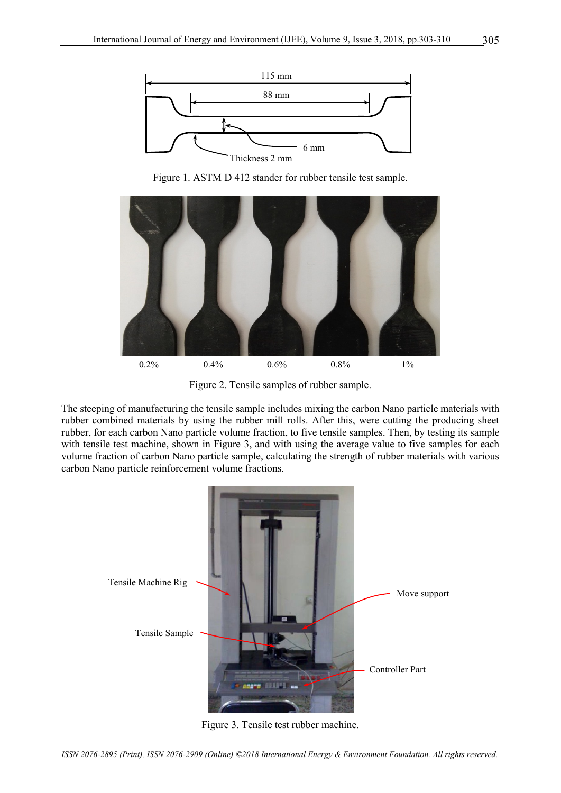

Figure 1. ASTM D 412 stander for rubber tensile test sample.



Figure 2. Tensile samples of rubber sample.

The steeping of manufacturing the tensile sample includes mixing the carbon Nano particle materials with rubber combined materials by using the rubber mill rolls. After this, were cutting the producing sheet rubber, for each carbon Nano particle volume fraction, to five tensile samples. Then, by testing its sample with tensile test machine, shown in Figure 3, and with using the average value to five samples for each volume fraction of carbon Nano particle sample, calculating the strength of rubber materials with various carbon Nano particle reinforcement volume fractions.



Figure 3. Tensile test rubber machine.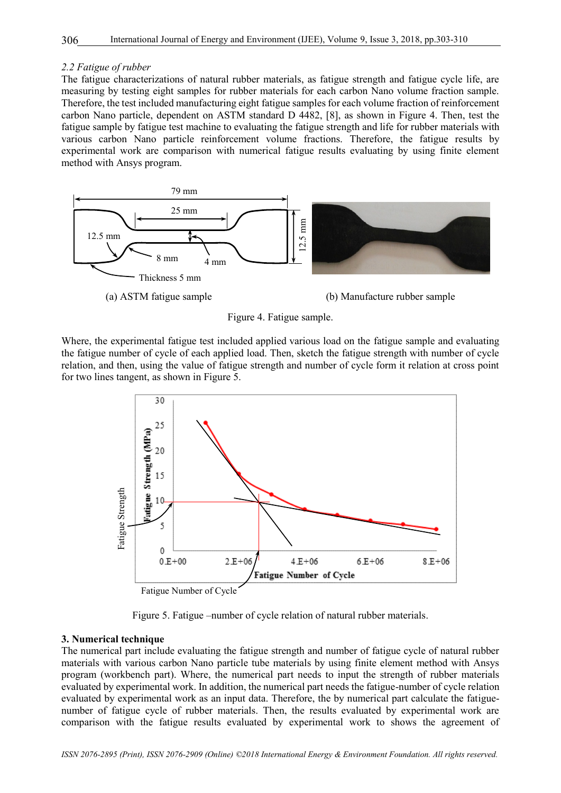#### *2.2 Fatigue of rubber*

The fatigue characterizations of natural rubber materials, as fatigue strength and fatigue cycle life, are measuring by testing eight samples for rubber materials for each carbon Nano volume fraction sample. Therefore, the test included manufacturing eight fatigue samples for each volume fraction of reinforcement carbon Nano particle, dependent on ASTM standard D 4482, [8], as shown in Figure 4. Then, test the fatigue sample by fatigue test machine to evaluating the fatigue strength and life for rubber materials with various carbon Nano particle reinforcement volume fractions. Therefore, the fatigue results by experimental work are comparison with numerical fatigue results evaluating by using finite element method with Ansys program.



Figure 4. Fatigue sample.

Where, the experimental fatigue test included applied various load on the fatigue sample and evaluating the fatigue number of cycle of each applied load. Then, sketch the fatigue strength with number of cycle relation, and then, using the value of fatigue strength and number of cycle form it relation at cross point for two lines tangent, as shown in Figure 5.



Figure 5. Fatigue –number of cycle relation of natural rubber materials.

#### **3. Numerical technique**

The numerical part include evaluating the fatigue strength and number of fatigue cycle of natural rubber materials with various carbon Nano particle tube materials by using finite element method with Ansys program (workbench part). Where, the numerical part needs to input the strength of rubber materials evaluated by experimental work. In addition, the numerical part needs the fatigue-number of cycle relation evaluated by experimental work as an input data. Therefore, the by numerical part calculate the fatiguenumber of fatigue cycle of rubber materials. Then, the results evaluated by experimental work are comparison with the fatigue results evaluated by experimental work to shows the agreement of

*ISSN 2076-2895 (Print), ISSN 2076-2909 (Online) ©2018 International Energy & Environment Foundation. All rights reserved.*

306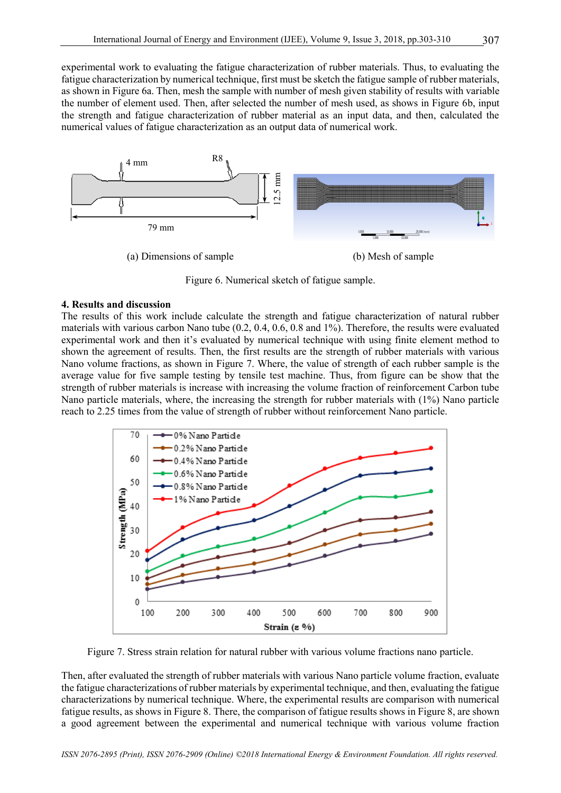experimental work to evaluating the fatigue characterization of rubber materials. Thus, to evaluating the fatigue characterization by numerical technique, first must be sketch the fatigue sample of rubber materials, as shown in Figure 6a. Then, mesh the sample with number of mesh given stability of results with variable the number of element used. Then, after selected the number of mesh used, as shows in Figure 6b, input the strength and fatigue characterization of rubber material as an input data, and then, calculated the numerical values of fatigue characterization as an output data of numerical work.



Figure 6. Numerical sketch of fatigue sample.

#### **4. Results and discussion**

The results of this work include calculate the strength and fatigue characterization of natural rubber materials with various carbon Nano tube (0.2, 0.4, 0.6, 0.8 and 1%). Therefore, the results were evaluated experimental work and then it's evaluated by numerical technique with using finite element method to shown the agreement of results. Then, the first results are the strength of rubber materials with various Nano volume fractions, as shown in Figure 7. Where, the value of strength of each rubber sample is the average value for five sample testing by tensile test machine. Thus, from figure can be show that the strength of rubber materials is increase with increasing the volume fraction of reinforcement Carbon tube Nano particle materials, where, the increasing the strength for rubber materials with (1%) Nano particle reach to 2.25 times from the value of strength of rubber without reinforcement Nano particle.



Figure 7. Stress strain relation for natural rubber with various volume fractions nano particle.

Then, after evaluated the strength of rubber materials with various Nano particle volume fraction, evaluate the fatigue characterizations of rubber materials by experimental technique, and then, evaluating the fatigue characterizations by numerical technique. Where, the experimental results are comparison with numerical fatigue results, as shows in Figure 8. There, the comparison of fatigue results shows in Figure 8, are shown a good agreement between the experimental and numerical technique with various volume fraction

*ISSN 2076-2895 (Print), ISSN 2076-2909 (Online) ©2018 International Energy & Environment Foundation. All rights reserved.*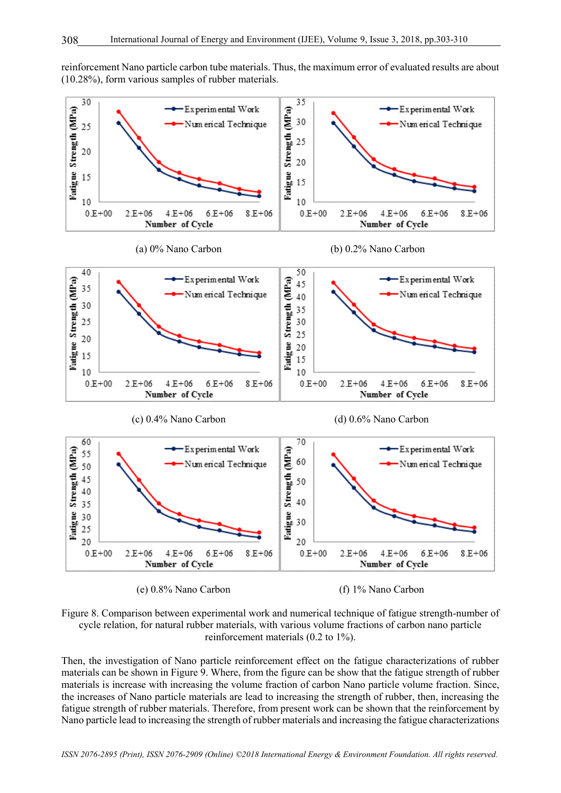reinforcement Nano particle carbon tube materials. Thus, the maximum error of evaluated results are about (10.28%), form various samples of rubber materials.







Then, the investigation of Nano particle reinforcement effect on the fatigue characterizations of rubber materials can be shown in Figure 9. Where, from the figure can be show that the fatigue strength of rubber materials is increase with increasing the volume fraction of carbon Nano particle volume fraction. Since, the increases of Nano particle materials are lead to increasing the strength of rubber, then, increasing the fatigue strength of rubber materials. Therefore, from present work can be shown that the reinforcement by Nano particle lead to increasing the strength of rubber materials and increasing the fatigue characterizations

*ISSN 2076-2895 (Print), ISSN 2076-2909 (Online) ©2018 International Energy & Environment Foundation. All rights reserved.*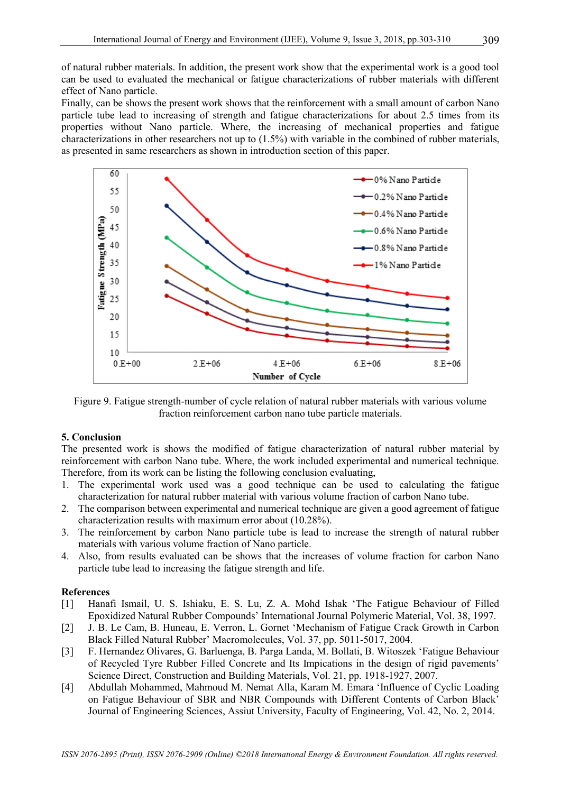309

of natural rubber materials. In addition, the present work show that the experimental work is a good tool can be used to evaluated the mechanical or fatigue characterizations of rubber materials with different effect of Nano particle.

Finally, can be shows the present work shows that the reinforcement with a small amount of carbon Nano particle tube lead to increasing of strength and fatigue characterizations for about 2.5 times from its properties without Nano particle. Where, the increasing of mechanical properties and fatigue characterizations in other researchers not up to (1.5%) with variable in the combined of rubber materials, as presented in same researchers as shown in introduction section of this paper.



Figure 9. Fatigue strength-number of cycle relation of natural rubber materials with various volume fraction reinforcement carbon nano tube particle materials.

### **5. Conclusion**

The presented work is shows the modified of fatigue characterization of natural rubber material by reinforcement with carbon Nano tube. Where, the work included experimental and numerical technique. Therefore, from its work can be listing the following conclusion evaluating,

- 1. The experimental work used was a good technique can be used to calculating the fatigue characterization for natural rubber material with various volume fraction of carbon Nano tube.
- 2. The comparison between experimental and numerical technique are given a good agreement of fatigue characterization results with maximum error about (10.28%).
- 3. The reinforcement by carbon Nano particle tube is lead to increase the strength of natural rubber materials with various volume fraction of Nano particle.
- 4. Also, from results evaluated can be shows that the increases of volume fraction for carbon Nano particle tube lead to increasing the fatigue strength and life.

# **References**

- [1] Hanafi Ismail, U. S. Ishiaku, E. S. Lu, Z. A. Mohd Ishak 'The Fatigue Behaviour of Filled Epoxidized Natural Rubber Compounds' International Journal Polymeric Material, Vol. 38, 1997.
- [2] J. B. Le Cam, B. Huneau, E. Verron, L. Gornet 'Mechanism of Fatigue Crack Growth in Carbon Black Filled Natural Rubber' Macromolecules, Vol. 37, pp. 5011-5017, 2004.
- [3] F. Hernandez Olivares, G. Barluenga, B. Parga Landa, M. Bollati, B. Witoszek 'Fatigue Behaviour of Recycled Tyre Rubber Filled Concrete and Its Impications in the design of rigid pavements' Science Direct, Construction and Building Materials, Vol. 21, pp. 1918-1927, 2007.
- [4] Abdullah Mohammed, Mahmoud M. Nemat Alla, Karam M. Emara 'Influence of Cyclic Loading on Fatigue Behaviour of SBR and NBR Compounds with Different Contents of Carbon Black' Journal of Engineering Sciences, Assiut University, Faculty of Engineering, Vol. 42, No. 2, 2014.